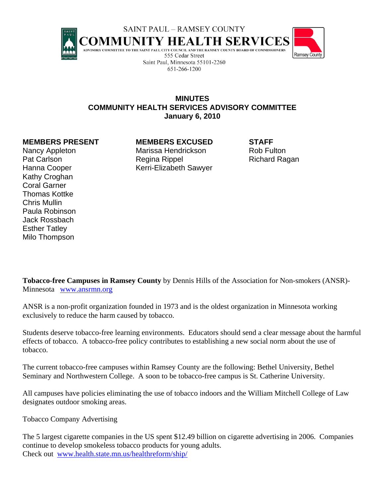

651-266-1200



**MINUTES COMMUNITY HEALTH SERVICES ADVISORY COMMITTEE January 6, 2010** 

**MEMBERS PRESENT MEMBERS EXCUSED STAFF** 

Nancy Appleton Marissa Hendrickson Rob Fulton Pat Carlson **Regina Rippel** Regina Rippel Richard Ragan Hanna Cooper Kerri-Elizabeth Sawyer

Kathy Croghan Coral Garner Thomas Kottke Chris Mullin Paula Robinson Jack Rossbach Esther Tatley Milo Thompson

**Tobacco-free Campuses in Ramsey County** by Dennis Hills of the Association for Non-smokers (ANSR)- Minnesota www.ansrmn.org

ANSR is a non-profit organization founded in 1973 and is the oldest organization in Minnesota working exclusively to reduce the harm caused by tobacco.

Students deserve tobacco-free learning environments. Educators should send a clear message about the harmful effects of tobacco. A tobacco-free policy contributes to establishing a new social norm about the use of tobacco.

The current tobacco-free campuses within Ramsey County are the following: Bethel University, Bethel Seminary and Northwestern College. A soon to be tobacco-free campus is St. Catherine University.

All campuses have policies eliminating the use of tobacco indoors and the William Mitchell College of Law designates outdoor smoking areas.

Tobacco Company Advertising

The 5 largest cigarette companies in the US spent \$12.49 billion on cigarette advertising in 2006. Companies continue to develop smokeless tobacco products for young adults. Check out www.health.state.mn.us/healthreform/ship/